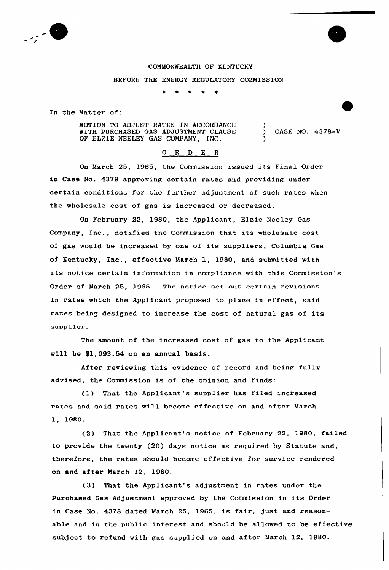

## COMMONWEALTH OF KENTUCKY

BEFORE ThE ENERGY REGULATORY COMMISSION

In the Matter of:

MOTION TO ADJUST RATES IN ACCORDANCE WITH PURCHASED GAS ADJUSTMENT CLAUSE OF ELZIE NEELEY GAS COMPANY, INC.

) CASE NO. 4378-V

)

)

## 0 R <sup>D</sup> E R

On March 25, 1965, the Commission issued its Final Order in Case No. 4378 approving certain rates and providing under certain conditions for the further adjustment of such rates when the wholesale cost of gas is increased or decreased.

On February 22, 1980, the Applicant, Elzie Neeley Gas Company, inc., notified the Commission that its wholesale cost of gas would be increased by one of its suppliers, Columbia Gas of Kentucky, Inc., effective March 1, 1980, and submitted with its notice certain information in compliance with this Commission's Order of March 25, 1965. The notice set out certain revisions in rates which the Applicant proposed to place in effect, said rates being designed to increase the cost of natural gas of its supplier.

The amount of the increased cost of gas to the Applicant will be \$1,093.54 on an annual basis.

After reviewing this evidence of record and being fully advised, the Commission is of the opinion and finds:

(1) That the Applicant's supplier has filed increased rates and said rates will become effective on and after March 1, 1980.

(2) That the Applicant's notice of February 22, 1980, failed to provide the twenty (20) days notice as required by Statute and, therefore, the rates should become effective for service rendered on and after March 12, 1980

'3) That the Applicant's adjustment in rates under the purchased Gas Adjustment approved by the Commission in its Order in Case No. 4378 dated March 25, 1965, is fair, just and reasonable and in the public interest and should be allowed to be effective subject to refund with gas supplied on and after March 12, 1980.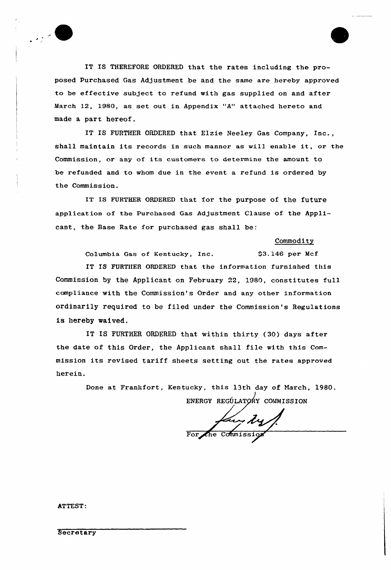

IT IS THEREFORE ORDERED that the rates including the proposed Purchased Gas Adjustment be and the same are hereby approved to be effective subject to refund with gas supplied on and after March 12, 1980, as set out in Appendix "A" attached hereto and made a part hereof.

IT IS FURTHER ORDERED that Elzie Neeley Gas Company, Inc., shall maintain its records in such manner as will enable it, or the Commission, or any of its customers to determine the amount to be refunded and to whom due in the event a refund is ordered by the Commission.

IT IS FURTHER ORDERED that for the purpose of the future application of the Purchased Gas Adjustment Clause of the Applicant, the Base Rate for purchased gas shall be:

## Commodity

Columbia Gas of Kentucky, Inc.  $$3.146$  per Mcf

IT IS FURTHER ORDERED that the information furnished this Commission by the Applicant on February 22, 1980, constitutes full compliance with the Commission's Order and any other information ordinarily required to be filed under the Commission's Regulations is hereby waived.

IT IS FURTHER ORDERED that within thirty (30) days after the date of this Order, the Applicant shall file with this Commission its revised tariff sheets setting out the rates approved herein.

> Done at Frankfort, Kentucky, this 13th day of March, 1980. ENERGY REGÚLATORY COMMISSION

fair dy

ATTEST: